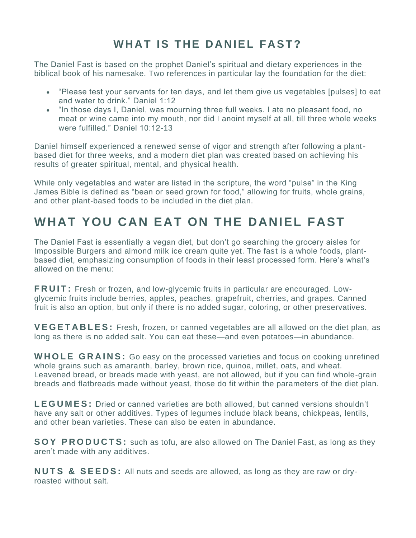## **WHAT IS THE DANIEL FAST?**

The Daniel Fast is based on the prophet Daniel's spiritual and dietary experiences in the biblical book of his namesake. Two references in particular lay the foundation for the diet:

- "Please test your servants for ten days, and let them give us vegetables [pulses] to eat and water to drink." Daniel 1:12
- "In those days I, Daniel, was mourning three full weeks. I ate no pleasant food, no meat or wine came into my mouth, nor did I anoint myself at all, till three whole weeks were fulfilled." Daniel 10:12-13

Daniel himself experienced a renewed sense of vigor and strength after following a plantbased diet for three weeks, and a modern diet plan was created based on achieving his results of greater spiritual, mental, and physical health.

While only vegetables and water are listed in the scripture, the word "pulse" in the King James Bible is defined as "bean or seed grown for food," allowing for fruits, whole grains, and other plant-based foods to be included in the diet plan.

## **WHAT YOU CAN EAT ON THE DANIEL FAST**

The Daniel Fast is essentially a vegan diet, but don't go searching the grocery aisles for Impossible Burgers and almond milk ice cream quite yet. The fast is a whole foods, plantbased diet, emphasizing consumption of foods in their least processed form. Here's what's allowed on the menu:

**FRUIT:** Fresh or frozen, and low-glycemic fruits in particular are encouraged. Lowglycemic fruits include berries, apples, peaches, grapefruit, cherries, and grapes. Canned fruit is also an option, but only if there is no added sugar, coloring, or other preservatives.

**V E G E T A B L E S :** Fresh, frozen, or canned vegetables are all allowed on the diet plan, as long as there is no added salt. You can eat these—and even potatoes—in abundance.

**WHOLE GRAINS:** Go easy on the processed varieties and focus on cooking unrefined whole grains such as amaranth, barley, brown rice, quinoa, millet, oats, and wheat. Leavened bread, or breads made with yeast, are not allowed, but if you can find whole-grain breads and flatbreads made without yeast, those do fit within the parameters of the diet plan.

**LEGUMES:** Dried or canned varieties are both allowed, but canned versions shouldn't have any salt or other additives. Types of legumes include black beans, chickpeas, lentils, and other bean varieties. These can also be eaten in abundance.

**SOY PRODUCTS:** such as tofu, are also allowed on The Daniel Fast, as long as they aren't made with any additives.

**NUTS & SEEDS:** All nuts and seeds are allowed, as long as they are raw or dryroasted without salt.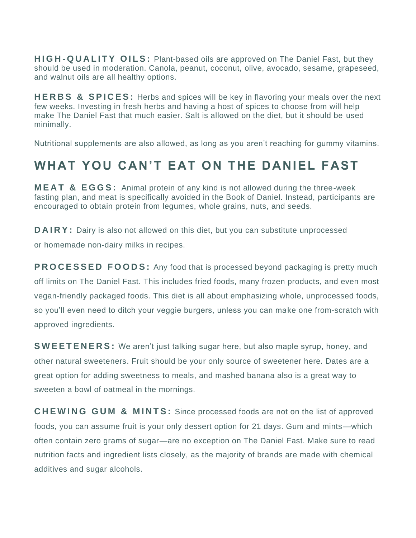**HIGH-QUALITY OILS:** Plant-based oils are approved on The Daniel Fast, but they should be used in moderation. Canola, peanut, coconut, olive, avocado, sesame, grapeseed, and walnut oils are all healthy options.

**HERBS & SPICES:** Herbs and spices will be key in flavoring your meals over the next few weeks. Investing in fresh herbs and having a host of spices to choose from will help make The Daniel Fast that much easier. Salt is allowed on the diet, but it should be used minimally.

Nutritional supplements are also allowed, as long as you aren't reaching for gummy vitamins.

## **WHAT YOU CAN'T EAT ON THE DANIEL FAST**

**MEAT & EGGS:** Animal protein of any kind is not allowed during the three-week fasting plan, and meat is specifically avoided in the Book of Daniel. Instead, participants are encouraged to obtain protein from legumes, whole grains, nuts, and seeds.

**DAIRY:** Dairy is also not allowed on this diet, but you can substitute unprocessed or [homemade non-dairy milks](https://www.cookinglight.com/food/recipe-finder/homemade-almond-milk) in recipes.

**PROCESSED FOODS:** Any food that is processed beyond packaging is pretty much off limits on The Daniel Fast. This includes fried foods, many frozen products, and even most vegan-friendly packaged foods. This diet is all about emphasizing whole, unprocessed foods, so you'll even need to ditch your veggie burgers, unless you can make one from-scratch with approved ingredients.

**S W E E T E N E R S :** We aren't just talking sugar here, but also maple syrup, honey, and other [natural sweeteners.](https://www.cookinglight.com/eating-smart/smart-choices/natural-sweeteners-for-cooking) Fruit should be your only source of sweetener here. Dates are a great option for adding sweetness to meals, and mashed banana also is a great way to sweeten a bowl of oatmeal in the mornings.

**CHEWING GUM & MINTS:** Since processed foods are not on the list of approved foods, you can assume fruit is your only dessert option for 21 days. Gum and mints—which often contain zero grams of sugar—are no exception on The Daniel Fast. Make sure to read nutrition facts and ingredient lists closely, as the majority of brands are made with chemical additives and [sugar alcohols.](https://www.cookinglight.com/eating-smart/nutrition-101/what-are-sugar-alcohols-healthy)